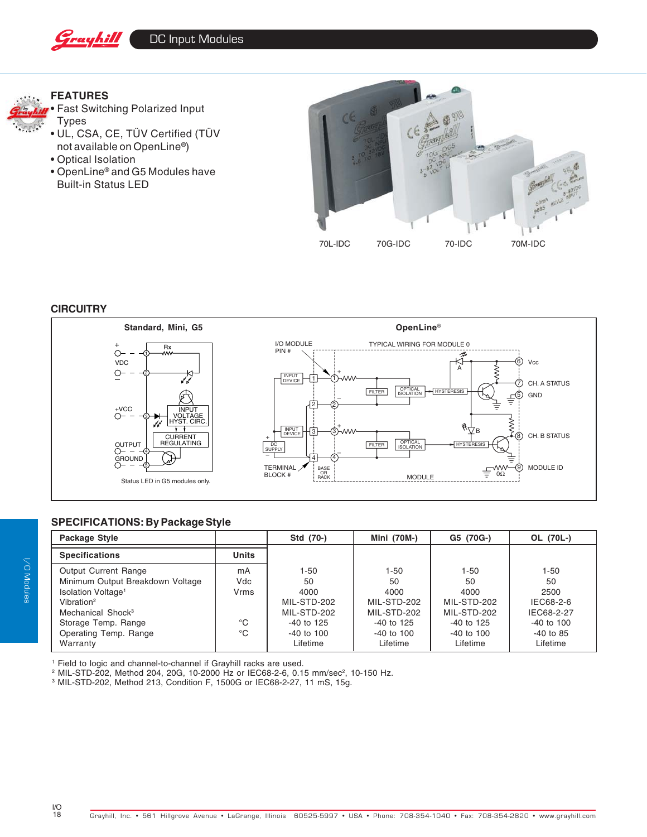

# **FEATURES**



• Fast Switching Polarized Input Types

- UL, CSA, CE, TÜV Certified (TÜV not available on OpenLine®)
- Optical Isolation
- OpenLine® and G5 Modules have Built-in Status LED



### **CIRCUITRY**



## **SPECIFICATIONS: By Package Style**

| Package Style                    |              | Std (70-)      | Mini (70M-)    | G5 (70G-)      | OL (70L-)      |
|----------------------------------|--------------|----------------|----------------|----------------|----------------|
| <b>Specifications</b>            | <b>Units</b> |                |                |                |                |
| Output Current Range             | mA           | 1-50           | 1-50           | $1 - 50$       | $1 - 50$       |
| Minimum Output Breakdown Voltage | Vdc          | 50             | 50             | 50             | 50             |
| Isolation Voltage <sup>1</sup>   | Vrms         | 4000           | 4000           | 4000           | 2500           |
| Vibration <sup>2</sup>           |              | MIL-STD-202    | MIL-STD-202    | MIL-STD-202    | IEC68-2-6      |
| Mechanical Shock <sup>3</sup>    |              | MIL-STD-202    | MIL-STD-202    | MIL-STD-202    | IEC68-2-27     |
| Storage Temp. Range              | °C           | $-40$ to 125   | $-40$ to 125   | $-40$ to 125   | $-40$ to $100$ |
| Operating Temp. Range            | $^{\circ}C$  | $-40$ to $100$ | $-40$ to $100$ | $-40$ to $100$ | $-40$ to 85    |
| Warranty                         |              | Lifetime       | Lifetime       | Lifetime       | Lifetime       |

1 Field to logic and channel-to-channel if Grayhill racks are used.

<sup>2</sup> MIL-STD-202, Method 204, 20G, 10-2000 Hz or IEC68-2-6, 0.15 mm/sec<sup>2</sup>, 10-150 Hz.<br><sup>3</sup> MIL-STD-202, Method 213, Condition F, 1500G or IEC68-2-27, 11 mS, 15g.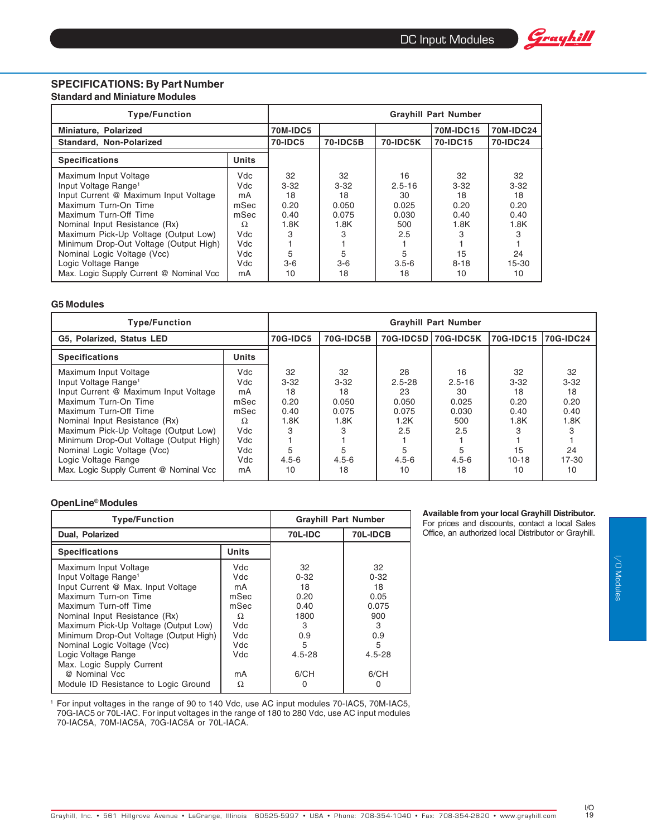

#### **SPECIFICATIONS: By Part Number Standard and Miniature Modules**

| <b>Type/Function</b>                    | <b>Grayhill Part Number</b> |                |                 |                  |           |          |  |
|-----------------------------------------|-----------------------------|----------------|-----------------|------------------|-----------|----------|--|
| Miniature, Polarized                    | <b>70M-IDC5</b>             |                |                 | <b>70M-IDC15</b> | 70M-IDC24 |          |  |
| Standard, Non-Polarized                 |                             | <b>70-IDC5</b> | <b>70-IDC5B</b> | <b>70-IDC5K</b>  | 70-IDC15  | 70-IDC24 |  |
| <b>Specifications</b>                   | <b>Units</b>                |                |                 |                  |           |          |  |
| Maximum Input Voltage                   | Vdc.                        | 32             | 32              | 16               | 32        | 32       |  |
| Input Voltage Range <sup>1</sup>        | Vdc                         | $3-32$         | $3 - 32$        | $2.5 - 16$       | $3 - 32$  | $3 - 32$ |  |
| Input Current @ Maximum Input Voltage   | mA                          | 18             | 18              | 30               | 18        | 18       |  |
| Maximum Turn-On Time                    | mSec                        | 0.20           | 0.050           | 0.025            | 0.20      | 0.20     |  |
| Maximum Turn-Off Time                   | mSec                        | 0.40           | 0.075           | 0.030            | 0.40      | 0.40     |  |
| Nominal Input Resistance (Rx)           | Ω                           | 1.8K           | 1.8K            | 500              | 1.8K      | 1.8K     |  |
| Maximum Pick-Up Voltage (Output Low)    | Vdc                         | З              | З               | 2.5              | З         |          |  |
| Minimum Drop-Out Voltage (Output High)  | Vdc                         |                |                 |                  |           |          |  |
| Nominal Logic Voltage (Vcc)             | Vdc                         | 5              | 5               |                  | 15        | 24       |  |
| Logic Voltage Range                     | Vdc                         | $3-6$          | $3-6$           | $3.5 - 6$        | $8 - 18$  | 15-30    |  |
| Max. Logic Supply Current @ Nominal Vcc | mA                          | 10             | 18              | 18               | 10        | 10       |  |

#### **G5 Modules**

| <b>Type/Function</b>                                                                                                                                                                                                                                                                                                                                                      |                                                                                 | <b>Grayhill Part Number</b>                                               |                                                                             |                                                                                 |                                                                           |                                                                            |                                                                   |  |
|---------------------------------------------------------------------------------------------------------------------------------------------------------------------------------------------------------------------------------------------------------------------------------------------------------------------------------------------------------------------------|---------------------------------------------------------------------------------|---------------------------------------------------------------------------|-----------------------------------------------------------------------------|---------------------------------------------------------------------------------|---------------------------------------------------------------------------|----------------------------------------------------------------------------|-------------------------------------------------------------------|--|
| G5, Polarized, Status LED                                                                                                                                                                                                                                                                                                                                                 | <b>70G-IDC5</b>                                                                 | <b>70G-IDC5B</b>                                                          | 70G-IDC5D                                                                   | <b>70G-IDC5K</b>                                                                | 70G-IDC15                                                                 | 70G-IDC24                                                                  |                                                                   |  |
| <b>Specifications</b>                                                                                                                                                                                                                                                                                                                                                     | <b>Units</b>                                                                    |                                                                           |                                                                             |                                                                                 |                                                                           |                                                                            |                                                                   |  |
| Maximum Input Voltage<br>Input Voltage Range <sup>1</sup><br>Input Current @ Maximum Input Voltage<br>Maximum Turn-On Time<br>Maximum Turn-Off Time<br>Nominal Input Resistance (Rx)<br>Maximum Pick-Up Voltage (Output Low)<br>Minimum Drop-Out Voltage (Output High)  <br>Nominal Logic Voltage (Vcc)<br>Logic Voltage Range<br>Max. Logic Supply Current @ Nominal Vcc | Vdc.<br>Vdc<br>mA<br>mSec<br>mSec<br>Ω<br><b>Vdc</b><br>Vdc<br>Vdc<br>Vdc<br>mA | 32<br>$3 - 32$<br>18<br>0.20<br>0.40<br>1.8K<br>3<br>5<br>$4.5 - 6$<br>10 | 32<br>$3 - 32$<br>18<br>0.050<br>0.075<br>1.8K<br>З<br>5<br>$4.5 - 6$<br>18 | 28<br>$2.5 - 28$<br>23<br>0.050<br>0.075<br>1.2K<br>2.5<br>5<br>$4.5 - 6$<br>10 | 16<br>$2.5 - 16$<br>30<br>0.025<br>0.030<br>500<br>2.5<br>$4.5 - 6$<br>18 | 32<br>$3 - 32$<br>18<br>0.20<br>0.40<br>1.8K<br>З<br>15<br>$10 - 18$<br>10 | 32<br>$3 - 32$<br>18<br>0.20<br>0.40<br>1.8K<br>24<br>17-30<br>10 |  |

#### **OpenLine**® **Modules**

| <b>Type/Function</b>                                                                                                                                                                                                                                                                                                      | <b>Grayhill Part Number</b>                                         |                                                                         |                                                                             |  |
|---------------------------------------------------------------------------------------------------------------------------------------------------------------------------------------------------------------------------------------------------------------------------------------------------------------------------|---------------------------------------------------------------------|-------------------------------------------------------------------------|-----------------------------------------------------------------------------|--|
| Dual, Polarized                                                                                                                                                                                                                                                                                                           | 70L-IDC                                                             | 70L-IDCB                                                                |                                                                             |  |
| <b>Specifications</b>                                                                                                                                                                                                                                                                                                     | <b>Units</b>                                                        |                                                                         |                                                                             |  |
| Maximum Input Voltage<br>Input Voltage Range <sup>1</sup><br>Input Current @ Max. Input Voltage<br>Maximum Turn-on Time<br>Maximum Turn-off Time<br>Nominal Input Resistance (Rx)<br>Maximum Pick-Up Voltage (Output Low)<br>Minimum Drop-Out Voltage (Output High)<br>Nominal Logic Voltage (Vcc)<br>Logic Voltage Range | Vdc<br>Vdc.<br>mA<br>mSec<br>mSec<br>Ω<br>Vdc<br>Vdc<br>Vdc<br>Vdc. | 32<br>$0 - 32$<br>18<br>0.20<br>0.40<br>1800<br>3<br>0.9<br>5<br>4.5-28 | 32<br>$0 - 32$<br>18<br>0.05<br>0.075<br>900<br>3<br>0.9<br>5<br>$4.5 - 28$ |  |
| Max. Logic Supply Current<br>@ Nominal Vcc<br>Module ID Resistance to Logic Ground                                                                                                                                                                                                                                        | mA<br>Ω                                                             | 6/CH                                                                    | 6/CH<br>O                                                                   |  |

#### **Available from your local Grayhill Distributor.** For prices and discounts, contact a local Sales Office, an authorized local Distributor or Grayhill.

<sup>1</sup> For input voltages in the range of 90 to 140 Vdc, use AC input modules 70-IAC5, 70M-IAC5, 70G-IAC5 or 70L-IAC. For input voltages in the range of 180 to 280 Vdc, use AC input modules 70-IAC5A, 70M-IAC5A, 70G-IAC5A or 70L-IACA.